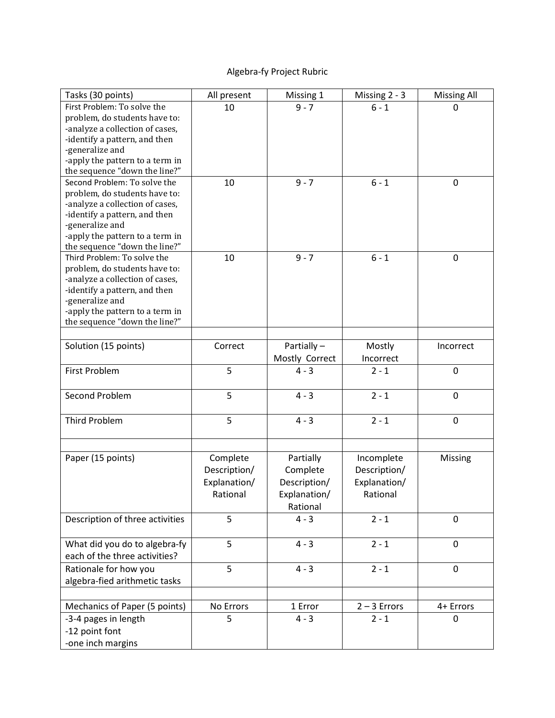## Algebra-fy Project Rubric

| Tasks (30 points)               | All present  | Missing 1      | Missing $2 - 3$ | <b>Missing All</b> |
|---------------------------------|--------------|----------------|-----------------|--------------------|
| First Problem: To solve the     | 10           | $9 - 7$        | $6 - 1$         | 0                  |
| problem, do students have to:   |              |                |                 |                    |
| -analyze a collection of cases, |              |                |                 |                    |
| -identify a pattern, and then   |              |                |                 |                    |
| -generalize and                 |              |                |                 |                    |
| -apply the pattern to a term in |              |                |                 |                    |
| the sequence "down the line?"   |              |                |                 |                    |
| Second Problem: To solve the    | 10           | $9 - 7$        | $6 - 1$         | $\mathbf 0$        |
| problem, do students have to:   |              |                |                 |                    |
| -analyze a collection of cases, |              |                |                 |                    |
| -identify a pattern, and then   |              |                |                 |                    |
| -generalize and                 |              |                |                 |                    |
| -apply the pattern to a term in |              |                |                 |                    |
| the sequence "down the line?"   |              |                |                 |                    |
| Third Problem: To solve the     | 10           | $9 - 7$        | $6 - 1$         | $\mathbf 0$        |
| problem, do students have to:   |              |                |                 |                    |
| -analyze a collection of cases, |              |                |                 |                    |
| -identify a pattern, and then   |              |                |                 |                    |
| -generalize and                 |              |                |                 |                    |
| -apply the pattern to a term in |              |                |                 |                    |
| the sequence "down the line?"   |              |                |                 |                    |
|                                 |              |                |                 |                    |
| Solution (15 points)            | Correct      | Partially -    | Mostly          | Incorrect          |
|                                 |              | Mostly Correct | Incorrect       |                    |
| <b>First Problem</b>            | 5            | $4 - 3$        | $2 - 1$         | $\mathbf 0$        |
|                                 |              |                |                 |                    |
| Second Problem                  | 5            | $4 - 3$        | $2 - 1$         | $\mathbf 0$        |
|                                 |              |                |                 |                    |
| <b>Third Problem</b>            | 5            | $4 - 3$        | $2 - 1$         | $\pmb{0}$          |
|                                 |              |                |                 |                    |
|                                 |              |                |                 |                    |
| Paper (15 points)               | Complete     | Partially      | Incomplete      | Missing            |
|                                 | Description/ | Complete       | Description/    |                    |
|                                 | Explanation/ | Description/   | Explanation/    |                    |
|                                 | Rational     | Explanation/   | Rational        |                    |
|                                 |              | Rational       |                 |                    |
| Description of three activities | 5            | $4 - 3$        | $2 - 1$         | $\mathbf 0$        |
|                                 |              |                |                 |                    |
| What did you do to algebra-fy   | 5            | $4 - 3$        | $2 - 1$         | $\mathbf 0$        |
| each of the three activities?   |              |                |                 |                    |
|                                 | 5            |                |                 |                    |
| Rationale for how you           |              | $4 - 3$        | $2 - 1$         | $\mathbf 0$        |
| algebra-fied arithmetic tasks   |              |                |                 |                    |
|                                 |              |                |                 |                    |
| Mechanics of Paper (5 points)   | No Errors    | 1 Error        | $2 - 3$ Errors  | 4+ Errors          |
| -3-4 pages in length            | 5            | $4 - 3$        | $2 - 1$         | 0                  |
| -12 point font                  |              |                |                 |                    |
| -one inch margins               |              |                |                 |                    |